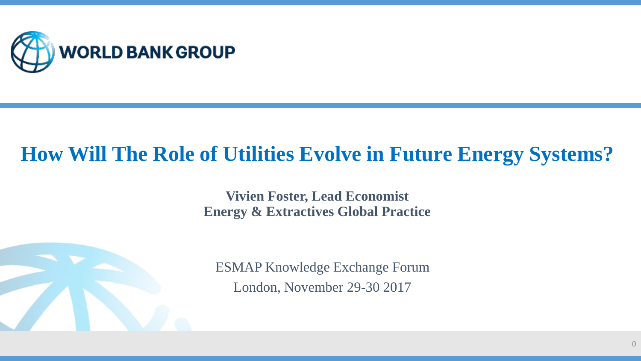

### **How Will The Role of Utilities Evolve in Future Energy Systems?**

**Vivien Foster, Lead Economist Energy & Extractives Global Practice**



ESMAP Knowledge Exchange Forum London, November 29-30 2017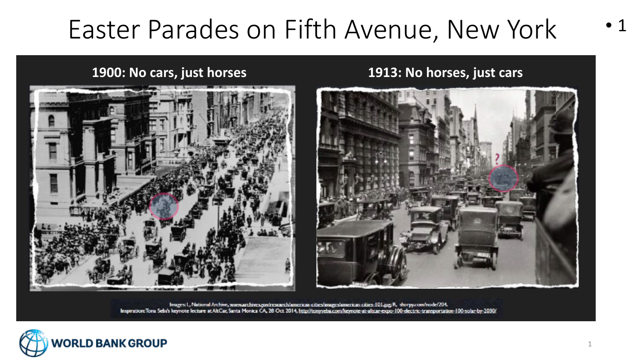### Easter Parades on Fifth Avenue, New York



**1900: No cars, just horses 1913: No horses, just cars**



Images: L, National Archive, www.archives.gov/research/american-cities/images/american-cities-101.jpg R, shorpy.com/node/204. Inspiration: Tona Sebi's keynote lecture at AltCar, Santa Monica CA, 28 Oct 2014, http://tonyseba.com/keynote-at-altcar-expo-100-electric-transportation-100-solar-by-2030/

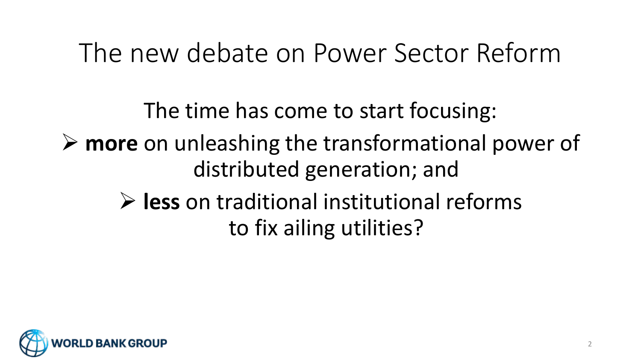### The new debate on Power Sector Reform

The time has come to start focusing: **more** on unleashing the transformational power of distributed generation; and **less** on traditional institutional reforms to fix ailing utilities?

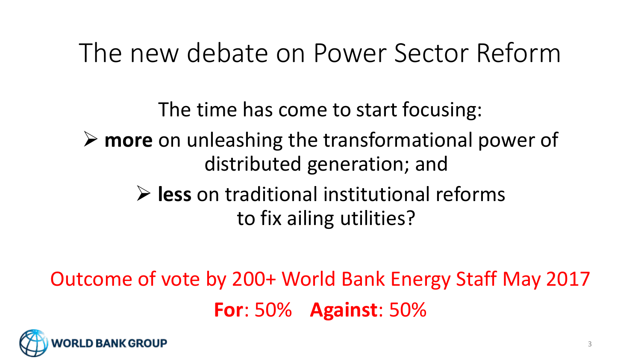### The new debate on Power Sector Reform

The time has come to start focusing: **more** on unleashing the transformational power of distributed generation; and **less** on traditional institutional reforms to fix ailing utilities?

Outcome of vote by 200+ World Bank Energy Staff May 2017 **For**: 50% **Against**: 50%

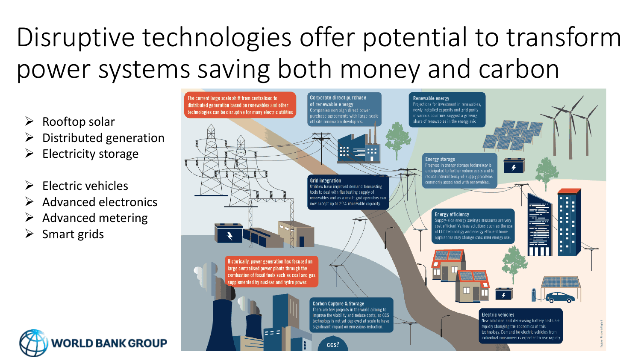# Disruptive technologies offer potential to transform power systems saving both money and carbon



- $\triangleright$  Rooftop solar
- $\triangleright$  Distributed generation
- $\triangleright$  Electricity storage
- Electric vehicles
- $\triangleright$  Advanced electronics
- $\triangleright$  Advanced metering
- $\triangleright$  Smart grids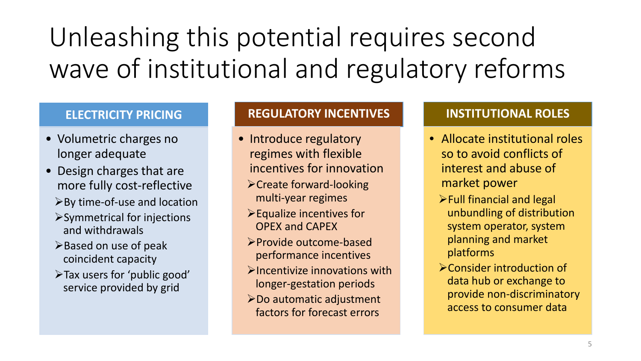# Unleashing this potential requires second wave of institutional and regulatory reforms

#### **ELECTRICITY PRICING**

- Volumetric charges no longer adequate
- Design charges that are more fully cost-reflective
	- By time-of-use and location
	- $\triangleright$  Symmetrical for injections and withdrawals
	- $\triangleright$  Based on use of peak coincident capacity
	- Tax users for 'public good' service provided by grid

#### **REGULATORY INCENTIVES**

- Introduce regulatory regimes with flexible incentives for innovation
	- Create forward-looking multi-year regimes
	- $\blacktriangleright$  Equalize incentives for OPEX and CAPEX
	- Provide outcome-based performance incentives
	- $\triangleright$  Incentivize innovations with longer-gestation periods
- Do automatic adjustment factors for forecast errors

#### **INSTITUTIONAL ROLES**

- Allocate institutional roles so to avoid conflicts of interest and abuse of market power
	- $\blacktriangleright$  Full financial and legal unbundling of distribution system operator, system planning and market platforms
	- Consider introduction of data hub or exchange to provide non-discriminatory access to consumer data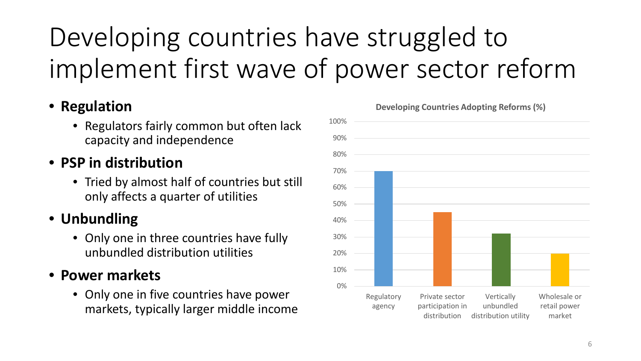# Developing countries have struggled to implement first wave of power sector reform

#### • **Regulation**

• Regulators fairly common but often lack capacity and independence

#### • **PSP in distribution**

• Tried by almost half of countries but still only affects a quarter of utilities

### • **Unbundling**

• Only one in three countries have fully unbundled distribution utilities

#### • **Power markets**

• Only one in five countries have power markets, typically larger middle income

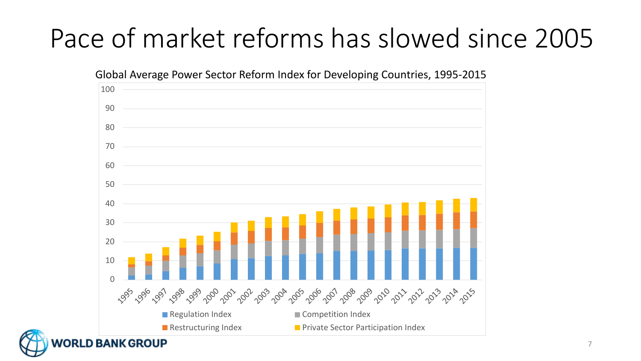# Pace of market reforms has slowed since 2005

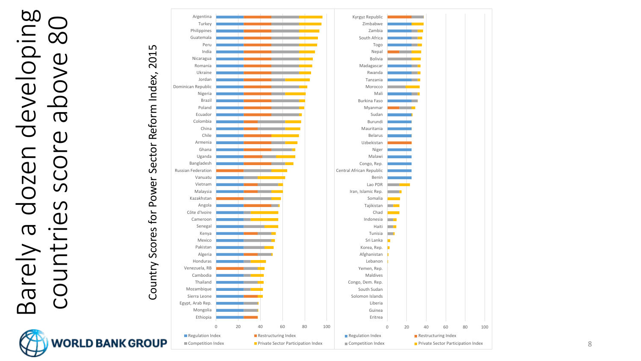### Barely a dozen developing eveloping countries score above 80  $\overline{\mathrm{C}}$  $\bigcirc$  $\mathsf{\Omega}$ dozen SCOI  $\mathcal{S}$  $\sigma$ Barely  $\overline{\mathsf{O}}$

 $\overline{\infty}$ 

 $\overline{\mathbb{C}}$ 



8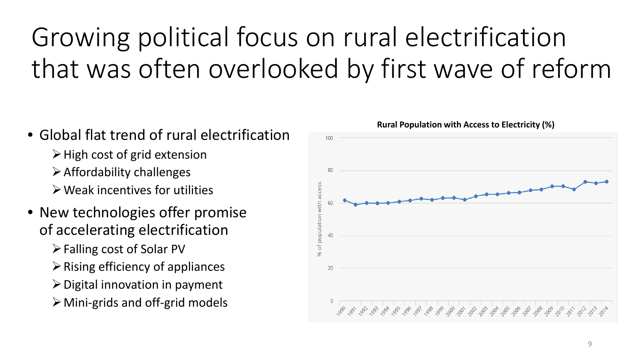# Growing political focus on rural electrification that was often overlooked by first wave of reform

- Global flat trend of rural electrification
	- $\triangleright$  High cost of grid extension
	- $\triangleright$  Affordability challenges
	- $\triangleright$  Weak incentives for utilities
- New technologies offer promise of accelerating electrification
	- Falling cost of Solar PV
	- $\triangleright$  Rising efficiency of appliances
	- $\triangleright$  Digital innovation in payment
	- Mini-grids and off-grid models



9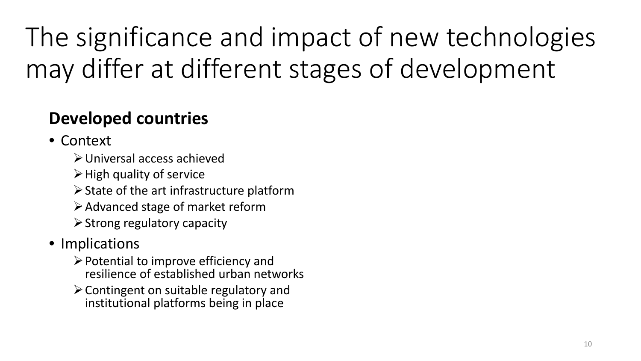The significance and impact of new technologies may differ at different stages of development

### **Developed countries**

- Context
	- Universal access achieved
	- $\triangleright$  High quality of service
	- $\triangleright$  State of the art infrastructure platform
	- $\triangleright$  Advanced stage of market reform
	- $\triangleright$  Strong regulatory capacity
- Implications
	- $\triangleright$  Potential to improve efficiency and resilience of established urban networks
	- $\triangleright$  Contingent on suitable regulatory and institutional platforms being in place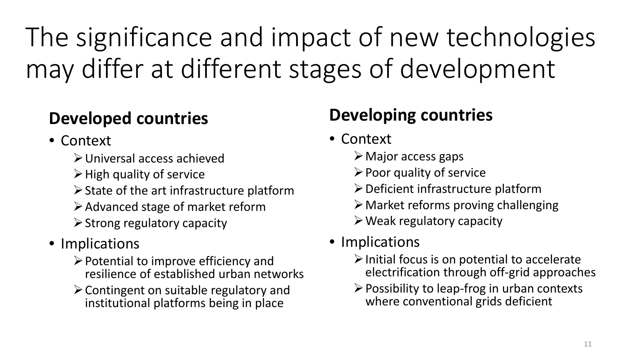The significance and impact of new technologies may differ at different stages of development

### **Developed countries**

- Context
	- Universal access achieved
	- $\triangleright$  High quality of service
	- $\triangleright$  State of the art infrastructure platform
	- $\triangleright$  Advanced stage of market reform
	- $\triangleright$  Strong regulatory capacity
- Implications
	- $\triangleright$  Potential to improve efficiency and resilience of established urban networks
	- $\triangleright$  Contingent on suitable regulatory and institutional platforms being in place

### **Developing countries**

- Context
	- $\triangleright$  Major access gaps
	- $\triangleright$  Poor quality of service
	- $\triangleright$  Deficient infrastructure platform
	- Market reforms proving challenging
	- $\triangleright$  Weak regulatory capacity
- Implications
	- $\triangleright$  Initial focus is on potential to accelerate electrification through off-grid approaches
	- $\triangleright$  Possibility to leap-frog in urban contexts where conventional grids deficient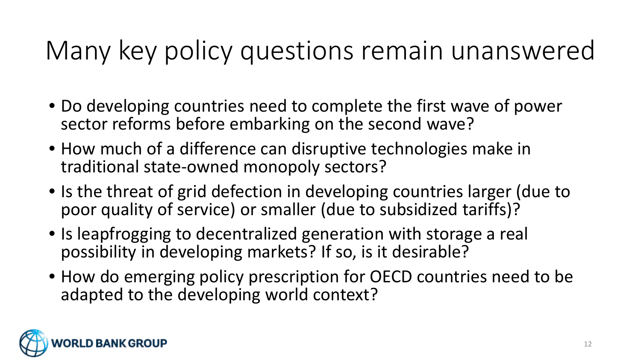# Many key policy questions remain unanswered

- Do developing countries need to complete the first wave of power sector reforms before embarking on the second wave?
- How much of a difference can disruptive technologies make in traditional state-owned monopoly sectors?
- Is the threat of grid defection in developing countries larger (due to poor quality of service) or smaller (due to subsidized tariffs)?
- Is leapfrogging to decentralized generation with storage a real possibility in developing markets? If so, is it desirable?
- How do emerging policy prescription for OECD countries need to be adapted to the developing world context?

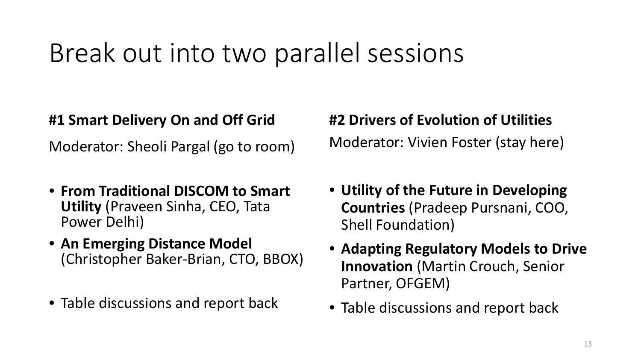### Break out into two parallel sessions

#### **#1 Smart Delivery On and Off Grid**

Moderator: Sheoli Pargal (go to room)

- **From Traditional DISCOM to Smart Utility** (Praveen Sinha, CEO, Tata Power Delhi)
- **An Emerging Distance Model**  (Christopher Baker-Brian, CTO, BBOX)
- Table discussions and report back

### **#2 Drivers of Evolution of Utilities** Moderator: Vivien Foster (stay here)

- **Utility of the Future in Developing Countries** (Pradeep Pursnani, COO, Shell Foundation)
- **Adapting Regulatory Models to Drive Innovation** (Martin Crouch, Senior Partner, OFGEM)
- Table discussions and report back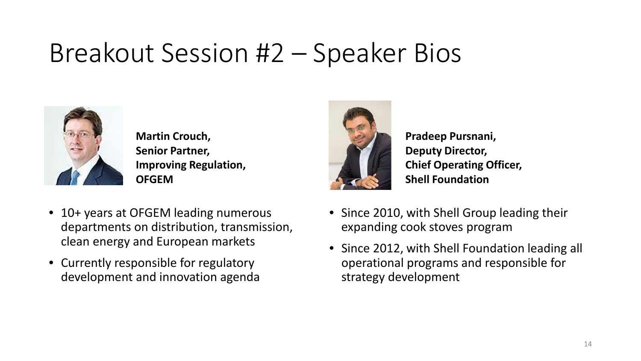# Breakout Session #2 – Speaker Bios



**Martin Crouch, Senior Partner, Improving Regulation, OFGEM**

- 10+ years at OFGEM leading numerous departments on distribution, transmission, clean energy and European markets
- Currently responsible for regulatory development and innovation agenda



**Pradeep Pursnani, Deputy Director, Chief Operating Officer, Shell Foundation**

- Since 2010, with Shell Group leading their expanding cook stoves program
- Since 2012, with Shell Foundation leading all operational programs and responsible for strategy development